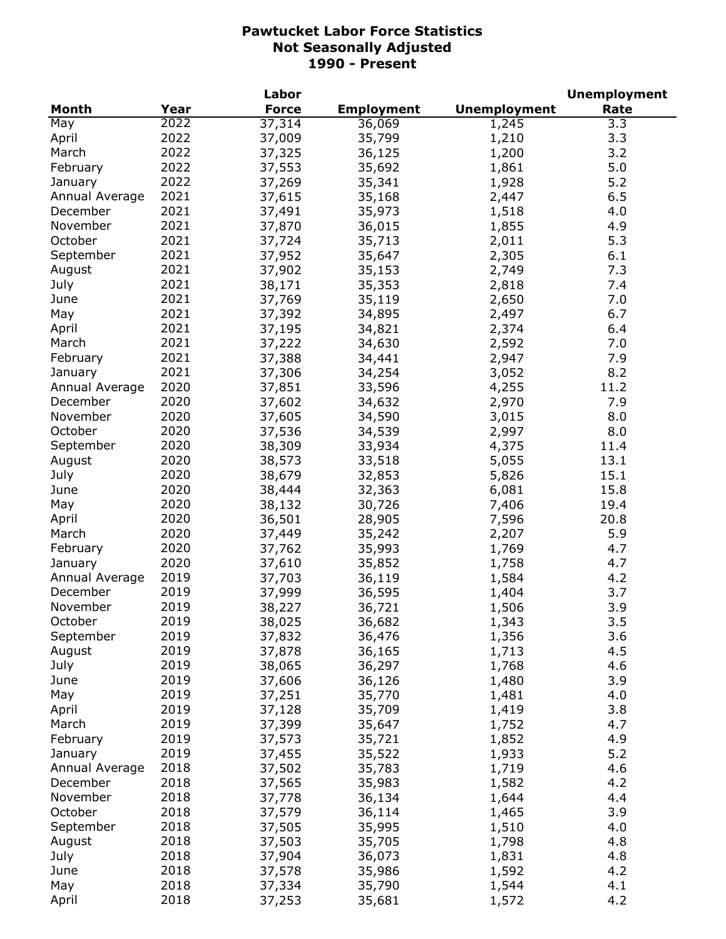|                |      | Labor        |                   |                     | <b>Unemployment</b> |
|----------------|------|--------------|-------------------|---------------------|---------------------|
| Month          | Year | <b>Force</b> | <b>Employment</b> | <b>Unemployment</b> | Rate                |
| May            | 2022 | 37,314       | 36,069            | 1,245               | 3.3                 |
| April          | 2022 | 37,009       | 35,799            | 1,210               | 3.3                 |
| March          | 2022 | 37,325       | 36,125            | 1,200               | 3.2                 |
| February       | 2022 | 37,553       | 35,692            | 1,861               | 5.0                 |
| January        | 2022 | 37,269       | 35,341            | 1,928               | 5.2                 |
| Annual Average | 2021 | 37,615       | 35,168            | 2,447               | 6.5                 |
| December       | 2021 | 37,491       | 35,973            | 1,518               | 4.0                 |
| November       | 2021 | 37,870       | 36,015            | 1,855               | 4.9                 |
| October        | 2021 | 37,724       | 35,713            | 2,011               | 5.3                 |
| September      | 2021 | 37,952       | 35,647            | 2,305               | 6.1                 |
| August         | 2021 | 37,902       | 35,153            | 2,749               | 7.3                 |
| July           | 2021 | 38,171       | 35,353            | 2,818               | 7.4                 |
| June           | 2021 | 37,769       | 35,119            | 2,650               | 7.0                 |
| May            | 2021 | 37,392       | 34,895            | 2,497               | 6.7                 |
| April          | 2021 | 37,195       | 34,821            | 2,374               | 6.4                 |
| March          | 2021 | 37,222       | 34,630            | 2,592               | 7.0                 |
| February       | 2021 | 37,388       | 34,441            | 2,947               | 7.9                 |
| January        | 2021 | 37,306       | 34,254            | 3,052               | 8.2                 |
| Annual Average | 2020 | 37,851       | 33,596            | 4,255               | 11.2                |
| December       | 2020 | 37,602       | 34,632            | 2,970               | 7.9                 |
| November       | 2020 | 37,605       | 34,590            | 3,015               | 8.0                 |
| October        | 2020 | 37,536       | 34,539            | 2,997               | 8.0                 |
| September      | 2020 | 38,309       | 33,934            | 4,375               | 11.4                |
| August         | 2020 | 38,573       | 33,518            | 5,055               | 13.1                |
| July           | 2020 | 38,679       | 32,853            | 5,826               | 15.1                |
| June           | 2020 | 38,444       | 32,363            | 6,081               | 15.8                |
| May            | 2020 | 38,132       | 30,726            | 7,406               | 19.4                |
| April          | 2020 | 36,501       | 28,905            | 7,596               | 20.8                |
| March          | 2020 | 37,449       | 35,242            | 2,207               | 5.9                 |
| February       | 2020 | 37,762       | 35,993            | 1,769               | 4.7                 |
| January        | 2020 | 37,610       | 35,852            | 1,758               | 4.7                 |
| Annual Average | 2019 | 37,703       | 36,119            | 1,584               | 4.2                 |
| December       | 2019 | 37,999       | 36,595            | 1,404               | 3.7                 |
| November       | 2019 | 38,227       | 36,721            | 1,506               | 3.9                 |
| October        | 2019 | 38,025       | 36,682            | 1,343               | 3.5                 |
| September      | 2019 | 37,832       | 36,476            | 1,356               | 3.6                 |
| August         | 2019 | 37,878       | 36,165            | 1,713               | 4.5                 |
| July           | 2019 | 38,065       | 36,297            | 1,768               | 4.6                 |
| June           | 2019 | 37,606       | 36,126            | 1,480               | 3.9                 |
| May            | 2019 | 37,251       | 35,770            | 1,481               | 4.0                 |
| April          | 2019 | 37,128       | 35,709            | 1,419               | 3.8                 |
| March          | 2019 | 37,399       | 35,647            | 1,752               | 4.7                 |
| February       | 2019 | 37,573       | 35,721            | 1,852               | 4.9                 |
| January        | 2019 | 37,455       | 35,522            | 1,933               | 5.2                 |
| Annual Average | 2018 | 37,502       | 35,783            | 1,719               | 4.6                 |
| December       | 2018 | 37,565       | 35,983            | 1,582               | 4.2                 |
| November       | 2018 | 37,778       | 36,134            | 1,644               | 4.4                 |
| October        | 2018 | 37,579       | 36,114            | 1,465               | 3.9                 |
| September      | 2018 | 37,505       | 35,995            | 1,510               | 4.0                 |
| August         | 2018 | 37,503       | 35,705            | 1,798               | 4.8                 |
| July           | 2018 | 37,904       | 36,073            | 1,831               | 4.8                 |
| June           | 2018 | 37,578       | 35,986            | 1,592               | 4.2                 |
| May            | 2018 | 37,334       | 35,790            | 1,544               | 4.1                 |
| April          | 2018 | 37,253       | 35,681            | 1,572               | 4.2                 |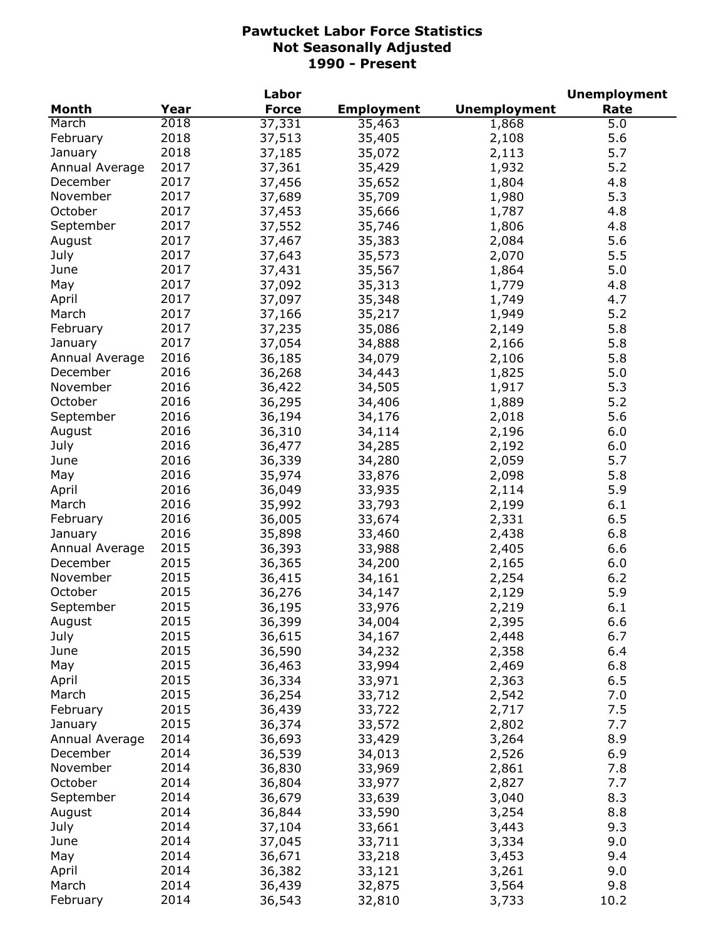|                |      | Labor        |                   |                     | <b>Unemployment</b> |
|----------------|------|--------------|-------------------|---------------------|---------------------|
| Month          | Year | <b>Force</b> | <b>Employment</b> | <b>Unemployment</b> | Rate                |
| March          | 2018 | 37,331       | 35,463            | 1,868               | 5.0                 |
| February       | 2018 | 37,513       | 35,405            | 2,108               | 5.6                 |
| January        | 2018 | 37,185       | 35,072            | 2,113               | 5.7                 |
| Annual Average | 2017 | 37,361       | 35,429            | 1,932               | 5.2                 |
| December       | 2017 | 37,456       | 35,652            | 1,804               | 4.8                 |
| November       | 2017 | 37,689       | 35,709            | 1,980               | 5.3                 |
| October        | 2017 | 37,453       | 35,666            | 1,787               | 4.8                 |
| September      | 2017 | 37,552       | 35,746            | 1,806               | 4.8                 |
| August         | 2017 | 37,467       | 35,383            | 2,084               | 5.6                 |
| July           | 2017 | 37,643       | 35,573            | 2,070               | 5.5                 |
| June           | 2017 | 37,431       | 35,567            | 1,864               | 5.0                 |
| May            | 2017 | 37,092       | 35,313            | 1,779               | 4.8                 |
| April          | 2017 | 37,097       | 35,348            | 1,749               | 4.7                 |
| March          | 2017 | 37,166       | 35,217            | 1,949               | 5.2                 |
| February       | 2017 | 37,235       | 35,086            | 2,149               | 5.8                 |
| January        | 2017 | 37,054       | 34,888            | 2,166               | 5.8                 |
| Annual Average | 2016 | 36,185       | 34,079            | 2,106               | 5.8                 |
| December       | 2016 | 36,268       | 34,443            | 1,825               | 5.0                 |
| November       | 2016 | 36,422       | 34,505            | 1,917               | 5.3                 |
| October        | 2016 | 36,295       | 34,406            | 1,889               | 5.2                 |
| September      | 2016 | 36,194       | 34,176            | 2,018               | 5.6                 |
| August         | 2016 | 36,310       | 34,114            | 2,196               | 6.0                 |
| July           | 2016 | 36,477       | 34,285            | 2,192               | 6.0                 |
| June           | 2016 | 36,339       | 34,280            | 2,059               | 5.7                 |
| May            | 2016 | 35,974       | 33,876            | 2,098               | 5.8                 |
| April          | 2016 | 36,049       | 33,935            | 2,114               | 5.9                 |
| March          | 2016 | 35,992       | 33,793            | 2,199               | 6.1                 |
| February       | 2016 | 36,005       | 33,674            | 2,331               | 6.5                 |
| January        | 2016 | 35,898       | 33,460            | 2,438               | 6.8                 |
| Annual Average | 2015 | 36,393       | 33,988            | 2,405               | 6.6                 |
| December       | 2015 | 36,365       | 34,200            | 2,165               | 6.0                 |
| November       | 2015 | 36,415       | 34,161            | 2,254               | 6.2                 |
| October        | 2015 | 36,276       | 34,147            | 2,129               | 5.9                 |
| September      | 2015 | 36,195       | 33,976            | 2,219               | 6.1                 |
| August         | 2015 | 36,399       | 34,004            | 2,395               | 6.6                 |
| July           | 2015 | 36,615       | 34,167            | 2,448               | 6.7                 |
| June           | 2015 | 36,590       | 34,232            | 2,358               | 6.4                 |
| May            | 2015 | 36,463       | 33,994            | 2,469               | 6.8                 |
| April          | 2015 | 36,334       | 33,971            | 2,363               | 6.5                 |
| March          | 2015 | 36,254       | 33,712            | 2,542               | 7.0                 |
| February       | 2015 | 36,439       | 33,722            | 2,717               | 7.5                 |
| January        | 2015 | 36,374       | 33,572            | 2,802               | 7.7                 |
| Annual Average | 2014 | 36,693       | 33,429            | 3,264               | 8.9                 |
| December       | 2014 | 36,539       | 34,013            | 2,526               | 6.9                 |
| November       | 2014 | 36,830       | 33,969            | 2,861               | 7.8                 |
| October        | 2014 | 36,804       | 33,977            | 2,827               | 7.7                 |
| September      | 2014 | 36,679       | 33,639            | 3,040               | 8.3                 |
| August         | 2014 | 36,844       | 33,590            | 3,254               | 8.8                 |
| July           | 2014 | 37,104       | 33,661            | 3,443               | 9.3                 |
| June           | 2014 | 37,045       | 33,711            | 3,334               | 9.0                 |
| May            | 2014 | 36,671       | 33,218            | 3,453               | 9.4                 |
| April          | 2014 | 36,382       | 33,121            | 3,261               | 9.0                 |
| March          | 2014 | 36,439       | 32,875            | 3,564               | 9.8                 |
| February       | 2014 | 36,543       | 32,810            | 3,733               | 10.2                |
|                |      |              |                   |                     |                     |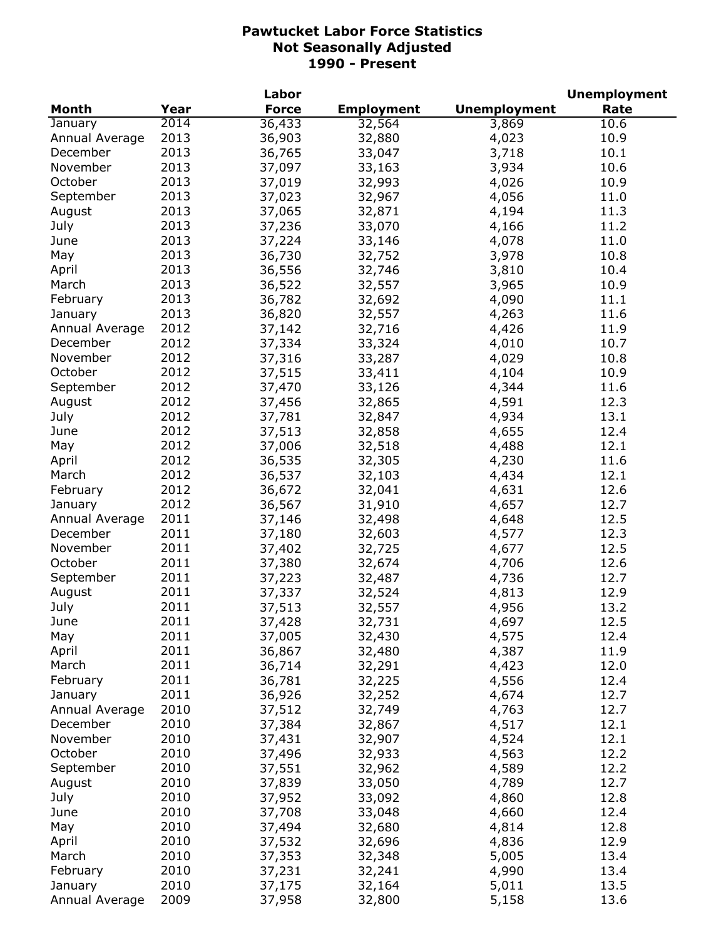|                |      | Labor        |                   |                     | <b>Unemployment</b> |
|----------------|------|--------------|-------------------|---------------------|---------------------|
| <b>Month</b>   | Year | <b>Force</b> | <b>Employment</b> | <b>Unemployment</b> | Rate                |
| January        | 2014 | 36,433       | 32,564            | 3,869               | 10.6                |
| Annual Average | 2013 | 36,903       | 32,880            | 4,023               | 10.9                |
| December       | 2013 | 36,765       | 33,047            | 3,718               | 10.1                |
| November       | 2013 | 37,097       | 33,163            | 3,934               | 10.6                |
| October        | 2013 | 37,019       | 32,993            | 4,026               | 10.9                |
| September      | 2013 | 37,023       | 32,967            | 4,056               | 11.0                |
| August         | 2013 | 37,065       | 32,871            | 4,194               | 11.3                |
| July           | 2013 | 37,236       | 33,070            | 4,166               | 11.2                |
| June           | 2013 | 37,224       | 33,146            | 4,078               | 11.0                |
| May            | 2013 | 36,730       | 32,752            | 3,978               | 10.8                |
| April          | 2013 | 36,556       | 32,746            | 3,810               | 10.4                |
| March          | 2013 | 36,522       | 32,557            | 3,965               | 10.9                |
| February       | 2013 | 36,782       | 32,692            | 4,090               | 11.1                |
| January        | 2013 | 36,820       | 32,557            | 4,263               | 11.6                |
| Annual Average | 2012 | 37,142       | 32,716            | 4,426               | 11.9                |
| December       | 2012 | 37,334       | 33,324            | 4,010               | 10.7                |
| November       | 2012 | 37,316       | 33,287            | 4,029               | 10.8                |
| October        | 2012 | 37,515       | 33,411            | 4,104               | 10.9                |
| September      | 2012 |              |                   | 4,344               | 11.6                |
|                | 2012 | 37,470       | 33,126            |                     |                     |
| August         |      | 37,456       | 32,865            | 4,591               | 12.3                |
| July           | 2012 | 37,781       | 32,847            | 4,934               | 13.1                |
| June           | 2012 | 37,513       | 32,858            | 4,655               | 12.4                |
| May            | 2012 | 37,006       | 32,518            | 4,488               | 12.1                |
| April          | 2012 | 36,535       | 32,305            | 4,230               | 11.6                |
| March          | 2012 | 36,537       | 32,103            | 4,434               | 12.1                |
| February       | 2012 | 36,672       | 32,041            | 4,631               | 12.6                |
| January        | 2012 | 36,567       | 31,910            | 4,657               | 12.7                |
| Annual Average | 2011 | 37,146       | 32,498            | 4,648               | 12.5                |
| December       | 2011 | 37,180       | 32,603            | 4,577               | 12.3                |
| November       | 2011 | 37,402       | 32,725            | 4,677               | 12.5                |
| October        | 2011 | 37,380       | 32,674            | 4,706               | 12.6                |
| September      | 2011 | 37,223       | 32,487            | 4,736               | 12.7                |
| August         | 2011 | 37,337       | 32,524            | 4,813               | 12.9                |
| July           | 2011 | 37,513       | 32,557            | 4,956               | 13.2                |
| June           | 2011 | 37,428       | 32,731            | 4,697               | 12.5                |
| May            | 2011 | 37,005       | 32,430            | 4,575               | 12.4                |
| April          | 2011 | 36,867       | 32,480            | 4,387               | 11.9                |
| March          | 2011 | 36,714       | 32,291            | 4,423               | 12.0                |
| February       | 2011 | 36,781       | 32,225            | 4,556               | 12.4                |
| January        | 2011 | 36,926       | 32,252            | 4,674               | 12.7                |
| Annual Average | 2010 | 37,512       | 32,749            | 4,763               | 12.7                |
| December       | 2010 | 37,384       | 32,867            | 4,517               | 12.1                |
| November       | 2010 | 37,431       | 32,907            | 4,524               | 12.1                |
| October        | 2010 | 37,496       | 32,933            | 4,563               | 12.2                |
| September      | 2010 | 37,551       | 32,962            | 4,589               | 12.2                |
| August         | 2010 | 37,839       | 33,050            | 4,789               | 12.7                |
| July           | 2010 | 37,952       | 33,092            | 4,860               | 12.8                |
| June           | 2010 | 37,708       | 33,048            | 4,660               | 12.4                |
| May            | 2010 | 37,494       | 32,680            | 4,814               | 12.8                |
| April          | 2010 | 37,532       | 32,696            | 4,836               | 12.9                |
| March          | 2010 | 37,353       | 32,348            | 5,005               | 13.4                |
| February       | 2010 | 37,231       | 32,241            | 4,990               | 13.4                |
| January        | 2010 | 37,175       | 32,164            | 5,011               | 13.5                |
| Annual Average | 2009 | 37,958       | 32,800            | 5,158               | 13.6                |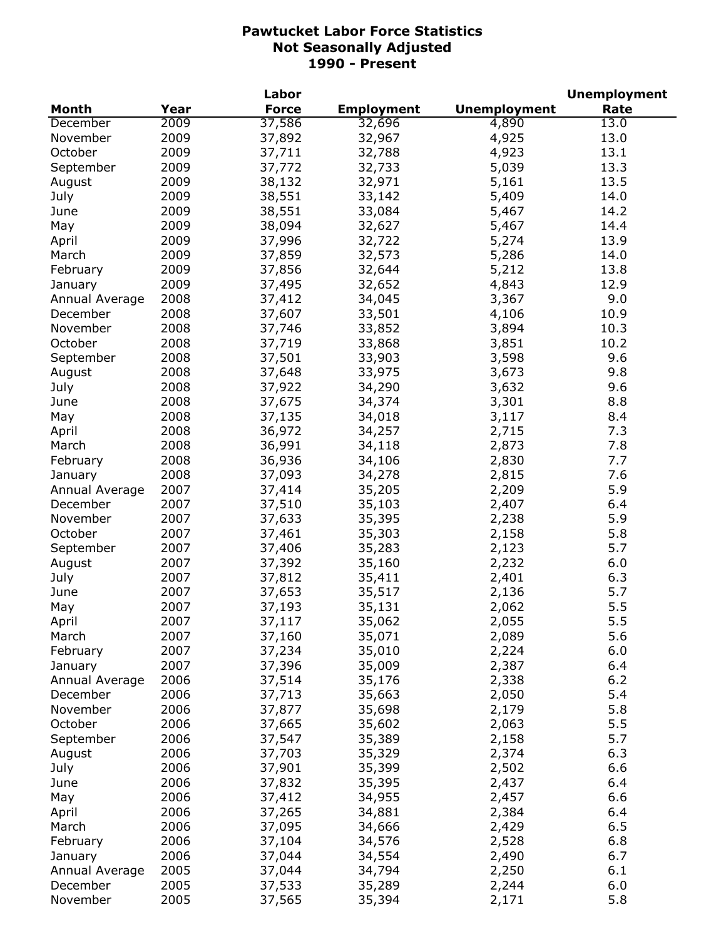|                |      | Labor        |                   |                     | <b>Unemployment</b> |
|----------------|------|--------------|-------------------|---------------------|---------------------|
| <b>Month</b>   | Year | <b>Force</b> | <b>Employment</b> | <b>Unemployment</b> | Rate                |
| December       | 2009 | 37,586       | 32,696            | 4,890               | 13.0                |
| November       | 2009 | 37,892       | 32,967            | 4,925               | 13.0                |
| October        | 2009 | 37,711       | 32,788            | 4,923               | 13.1                |
| September      | 2009 | 37,772       | 32,733            | 5,039               | 13.3                |
| August         | 2009 | 38,132       | 32,971            | 5,161               | 13.5                |
| July           | 2009 | 38,551       | 33,142            | 5,409               | 14.0                |
| June           | 2009 | 38,551       | 33,084            | 5,467               | 14.2                |
| May            | 2009 | 38,094       | 32,627            | 5,467               | 14.4                |
| April          | 2009 | 37,996       | 32,722            | 5,274               | 13.9                |
| March          | 2009 | 37,859       | 32,573            | 5,286               | 14.0                |
| February       | 2009 | 37,856       | 32,644            | 5,212               | 13.8                |
| January        | 2009 | 37,495       | 32,652            | 4,843               | 12.9                |
| Annual Average | 2008 | 37,412       | 34,045            | 3,367               | 9.0                 |
| December       | 2008 | 37,607       | 33,501            | 4,106               | 10.9                |
| November       | 2008 | 37,746       | 33,852            | 3,894               | 10.3                |
| October        | 2008 | 37,719       | 33,868            | 3,851               | 10.2                |
| September      | 2008 | 37,501       | 33,903            | 3,598               | 9.6                 |
| August         | 2008 | 37,648       | 33,975            | 3,673               | 9.8                 |
|                | 2008 | 37,922       | 34,290            | 3,632               | 9.6                 |
| July           |      |              | 34,374            |                     |                     |
| June           | 2008 | 37,675       |                   | 3,301               | 8.8                 |
| May            | 2008 | 37,135       | 34,018            | 3,117               | 8.4                 |
| April          | 2008 | 36,972       | 34,257            | 2,715               | 7.3                 |
| March          | 2008 | 36,991       | 34,118            | 2,873               | 7.8                 |
| February       | 2008 | 36,936       | 34,106            | 2,830               | 7.7                 |
| January        | 2008 | 37,093       | 34,278            | 2,815               | 7.6                 |
| Annual Average | 2007 | 37,414       | 35,205            | 2,209               | 5.9                 |
| December       | 2007 | 37,510       | 35,103            | 2,407               | 6.4                 |
| November       | 2007 | 37,633       | 35,395            | 2,238               | 5.9                 |
| October        | 2007 | 37,461       | 35,303            | 2,158               | 5.8                 |
| September      | 2007 | 37,406       | 35,283            | 2,123               | 5.7                 |
| August         | 2007 | 37,392       | 35,160            | 2,232               | 6.0                 |
| July           | 2007 | 37,812       | 35,411            | 2,401               | 6.3                 |
| June           | 2007 | 37,653       | 35,517            | 2,136               | 5.7                 |
| May            | 2007 | 37,193       | 35,131            | 2,062               | 5.5                 |
| April          | 2007 | 37,117       | 35,062            | 2,055               | 5.5                 |
| March          | 2007 | 37,160       | 35,071            | 2,089               | 5.6                 |
| February       | 2007 | 37,234       | 35,010            | 2,224               | 6.0                 |
| January        | 2007 | 37,396       | 35,009            | 2,387               | 6.4                 |
| Annual Average | 2006 | 37,514       | 35,176            | 2,338               | 6.2                 |
| December       | 2006 | 37,713       | 35,663            | 2,050               | 5.4                 |
| November       | 2006 | 37,877       | 35,698            | 2,179               | 5.8                 |
| October        | 2006 | 37,665       | 35,602            | 2,063               | 5.5                 |
| September      | 2006 | 37,547       | 35,389            | 2,158               | 5.7                 |
| August         | 2006 | 37,703       | 35,329            | 2,374               | 6.3                 |
| July           | 2006 | 37,901       | 35,399            | 2,502               | 6.6                 |
| June           | 2006 | 37,832       | 35,395            | 2,437               | 6.4                 |
| May            | 2006 | 37,412       | 34,955            | 2,457               | 6.6                 |
| April          | 2006 | 37,265       | 34,881            | 2,384               | 6.4                 |
| March          | 2006 | 37,095       | 34,666            | 2,429               | 6.5                 |
| February       | 2006 | 37,104       | 34,576            | 2,528               | 6.8                 |
| January        | 2006 | 37,044       | 34,554            | 2,490               | 6.7                 |
| Annual Average | 2005 | 37,044       | 34,794            | 2,250               | 6.1                 |
| December       | 2005 | 37,533       | 35,289            | 2,244               | 6.0                 |
| November       | 2005 | 37,565       | 35,394            | 2,171               | 5.8                 |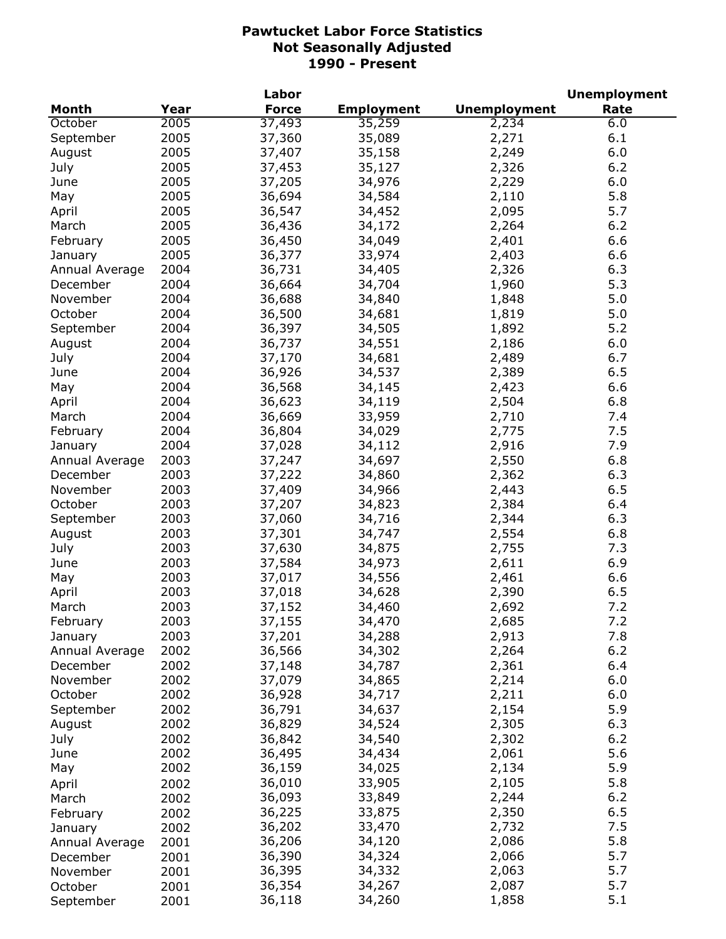|                |      | Labor        |                   |                     | <b>Unemployment</b> |
|----------------|------|--------------|-------------------|---------------------|---------------------|
| <b>Month</b>   | Year | <b>Force</b> | <b>Employment</b> | <b>Unemployment</b> | Rate                |
| October        | 2005 | 37,493       | 35,259            | 2,234               | 6.0                 |
| September      | 2005 | 37,360       | 35,089            | 2,271               | 6.1                 |
| August         | 2005 | 37,407       | 35,158            | 2,249               | 6.0                 |
| July           | 2005 | 37,453       | 35,127            | 2,326               | 6.2                 |
| June           | 2005 | 37,205       | 34,976            | 2,229               | 6.0                 |
| May            | 2005 | 36,694       | 34,584            | 2,110               | 5.8                 |
| April          | 2005 | 36,547       | 34,452            | 2,095               | 5.7                 |
| March          | 2005 | 36,436       | 34,172            | 2,264               | 6.2                 |
| February       | 2005 | 36,450       | 34,049            | 2,401               | 6.6                 |
| January        | 2005 | 36,377       | 33,974            | 2,403               | 6.6                 |
| Annual Average | 2004 | 36,731       | 34,405            | 2,326               | 6.3                 |
| December       | 2004 | 36,664       | 34,704            | 1,960               | 5.3                 |
| November       | 2004 | 36,688       | 34,840            | 1,848               | 5.0                 |
| October        | 2004 | 36,500       | 34,681            | 1,819               | 5.0                 |
| September      | 2004 | 36,397       | 34,505            | 1,892               | 5.2                 |
| August         | 2004 | 36,737       | 34,551            | 2,186               | 6.0                 |
| July           | 2004 | 37,170       | 34,681            | 2,489               | 6.7                 |
| June           | 2004 | 36,926       | 34,537            | 2,389               | 6.5                 |
|                | 2004 |              |                   |                     | 6.6                 |
| May            |      | 36,568       | 34,145            | 2,423               |                     |
| April          | 2004 | 36,623       | 34,119            | 2,504               | 6.8                 |
| March          | 2004 | 36,669       | 33,959            | 2,710               | 7.4                 |
| February       | 2004 | 36,804       | 34,029            | 2,775               | 7.5                 |
| January        | 2004 | 37,028       | 34,112            | 2,916               | 7.9                 |
| Annual Average | 2003 | 37,247       | 34,697            | 2,550               | 6.8                 |
| December       | 2003 | 37,222       | 34,860            | 2,362               | 6.3                 |
| November       | 2003 | 37,409       | 34,966            | 2,443               | 6.5                 |
| October        | 2003 | 37,207       | 34,823            | 2,384               | 6.4                 |
| September      | 2003 | 37,060       | 34,716            | 2,344               | 6.3                 |
| August         | 2003 | 37,301       | 34,747            | 2,554               | 6.8                 |
| July           | 2003 | 37,630       | 34,875            | 2,755               | 7.3                 |
| June           | 2003 | 37,584       | 34,973            | 2,611               | 6.9                 |
| May            | 2003 | 37,017       | 34,556            | 2,461               | 6.6                 |
| April          | 2003 | 37,018       | 34,628            | 2,390               | 6.5                 |
| March          | 2003 | 37,152       | 34,460            | 2,692               | 7.2                 |
| February       | 2003 | 37,155       | 34,470            | 2,685               | 7.2                 |
| January        | 2003 | 37,201       | 34,288            | 2,913               | 7.8                 |
| Annual Average | 2002 | 36,566       | 34,302            | 2,264               | 6.2                 |
| December       | 2002 | 37,148       | 34,787            | 2,361               | 6.4                 |
| November       | 2002 | 37,079       | 34,865            | 2,214               | 6.0                 |
| October        | 2002 | 36,928       | 34,717            | 2,211               | 6.0                 |
| September      | 2002 | 36,791       | 34,637            | 2,154               | 5.9                 |
| August         | 2002 | 36,829       | 34,524            | 2,305               | 6.3                 |
| July           | 2002 | 36,842       | 34,540            | 2,302               | 6.2                 |
| June           | 2002 | 36,495       | 34,434            | 2,061               | 5.6                 |
| May            | 2002 | 36,159       | 34,025            | 2,134               | 5.9                 |
| April          | 2002 | 36,010       | 33,905            | 2,105               | 5.8                 |
| March          | 2002 | 36,093       | 33,849            | 2,244               | 6.2                 |
| February       | 2002 | 36,225       | 33,875            | 2,350               | 6.5                 |
| January        | 2002 | 36,202       | 33,470            | 2,732               | 7.5                 |
| Annual Average | 2001 | 36,206       | 34,120            | 2,086               | 5.8                 |
| December       | 2001 | 36,390       | 34,324            | 2,066               | 5.7                 |
| November       | 2001 | 36,395       | 34,332            | 2,063               | 5.7                 |
| October        | 2001 | 36,354       | 34,267            | 2,087               | 5.7                 |
| September      | 2001 | 36,118       | 34,260            | 1,858               | 5.1                 |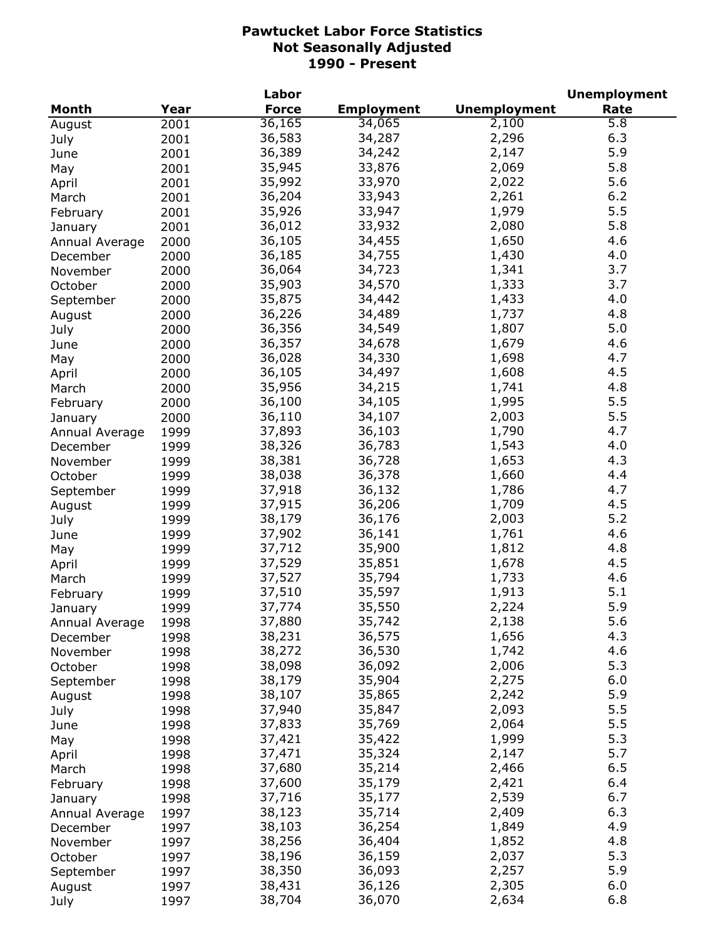|                |      | Labor        |                   |                     | <b>Unemployment</b> |
|----------------|------|--------------|-------------------|---------------------|---------------------|
| <b>Month</b>   | Year | <b>Force</b> | <b>Employment</b> | <b>Unemployment</b> | Rate                |
| August         | 2001 | 36,165       | 34,065            | 2,100               | 5.8                 |
| July           | 2001 | 36,583       | 34,287            | 2,296               | 6.3                 |
| June           | 2001 | 36,389       | 34,242            | 2,147               | 5.9                 |
| May            | 2001 | 35,945       | 33,876            | 2,069               | 5.8                 |
| April          | 2001 | 35,992       | 33,970            | 2,022               | 5.6                 |
| March          | 2001 | 36,204       | 33,943            | 2,261               | 6.2                 |
| February       | 2001 | 35,926       | 33,947            | 1,979               | 5.5                 |
| January        | 2001 | 36,012       | 33,932            | 2,080               | 5.8                 |
| Annual Average | 2000 | 36,105       | 34,455            | 1,650               | 4.6                 |
| December       | 2000 | 36,185       | 34,755            | 1,430               | 4.0                 |
| November       | 2000 | 36,064       | 34,723            | 1,341               | 3.7                 |
| October        | 2000 | 35,903       | 34,570            | 1,333               | 3.7                 |
| September      | 2000 | 35,875       | 34,442            | 1,433               | 4.0                 |
|                |      | 36,226       | 34,489            | 1,737               | 4.8                 |
| August         | 2000 |              | 34,549            | 1,807               | 5.0                 |
| July           | 2000 | 36,356       |                   |                     |                     |
| June           | 2000 | 36,357       | 34,678            | 1,679               | 4.6                 |
| May            | 2000 | 36,028       | 34,330            | 1,698               | 4.7                 |
| April          | 2000 | 36,105       | 34,497            | 1,608               | 4.5                 |
| March          | 2000 | 35,956       | 34,215            | 1,741               | 4.8                 |
| February       | 2000 | 36,100       | 34,105            | 1,995               | 5.5                 |
| January        | 2000 | 36,110       | 34,107            | 2,003               | 5.5                 |
| Annual Average | 1999 | 37,893       | 36,103            | 1,790               | 4.7                 |
| December       | 1999 | 38,326       | 36,783            | 1,543               | 4.0                 |
| November       | 1999 | 38,381       | 36,728            | 1,653               | 4.3                 |
| October        | 1999 | 38,038       | 36,378            | 1,660               | 4.4                 |
| September      | 1999 | 37,918       | 36,132            | 1,786               | 4.7                 |
| August         | 1999 | 37,915       | 36,206            | 1,709               | 4.5                 |
| July           | 1999 | 38,179       | 36,176            | 2,003               | 5.2                 |
| June           | 1999 | 37,902       | 36,141            | 1,761               | 4.6                 |
| May            | 1999 | 37,712       | 35,900            | 1,812               | 4.8                 |
| April          | 1999 | 37,529       | 35,851            | 1,678               | 4.5                 |
| March          | 1999 | 37,527       | 35,794            | 1,733               | 4.6                 |
| February       | 1999 | 37,510       | 35,597            | 1,913               | 5.1                 |
| January        | 1999 | 37,774       | 35,550            | 2,224               | 5.9                 |
| Annual Average | 1998 | 37,880       | 35,742            | 2,138               | 5.6                 |
| December       | 1998 | 38,231       | 36,575            | 1,656               | 4.3                 |
| November       | 1998 | 38,272       | 36,530            | 1,742               | 4.6                 |
| October        | 1998 | 38,098       | 36,092            | 2,006               | 5.3                 |
| September      | 1998 | 38,179       | 35,904            | 2,275               | 6.0                 |
| August         | 1998 | 38,107       | 35,865            | 2,242               | 5.9                 |
| July           | 1998 | 37,940       | 35,847            | 2,093               | 5.5                 |
|                | 1998 | 37,833       | 35,769            | 2,064               | 5.5                 |
| June           |      | 37,421       | 35,422            | 1,999               | 5.3                 |
| May            | 1998 | 37,471       |                   | 2,147               | 5.7                 |
| April          | 1998 |              | 35,324            |                     |                     |
| March          | 1998 | 37,680       | 35,214            | 2,466               | 6.5                 |
| February       | 1998 | 37,600       | 35,179            | 2,421               | 6.4                 |
| January        | 1998 | 37,716       | 35,177            | 2,539               | 6.7                 |
| Annual Average | 1997 | 38,123       | 35,714            | 2,409               | 6.3                 |
| December       | 1997 | 38,103       | 36,254            | 1,849               | 4.9                 |
| November       | 1997 | 38,256       | 36,404            | 1,852               | 4.8                 |
| October        | 1997 | 38,196       | 36,159            | 2,037               | 5.3                 |
| September      | 1997 | 38,350       | 36,093            | 2,257               | 5.9                 |
| August         | 1997 | 38,431       | 36,126            | 2,305               | 6.0                 |
| July           | 1997 | 38,704       | 36,070            | 2,634               | 6.8                 |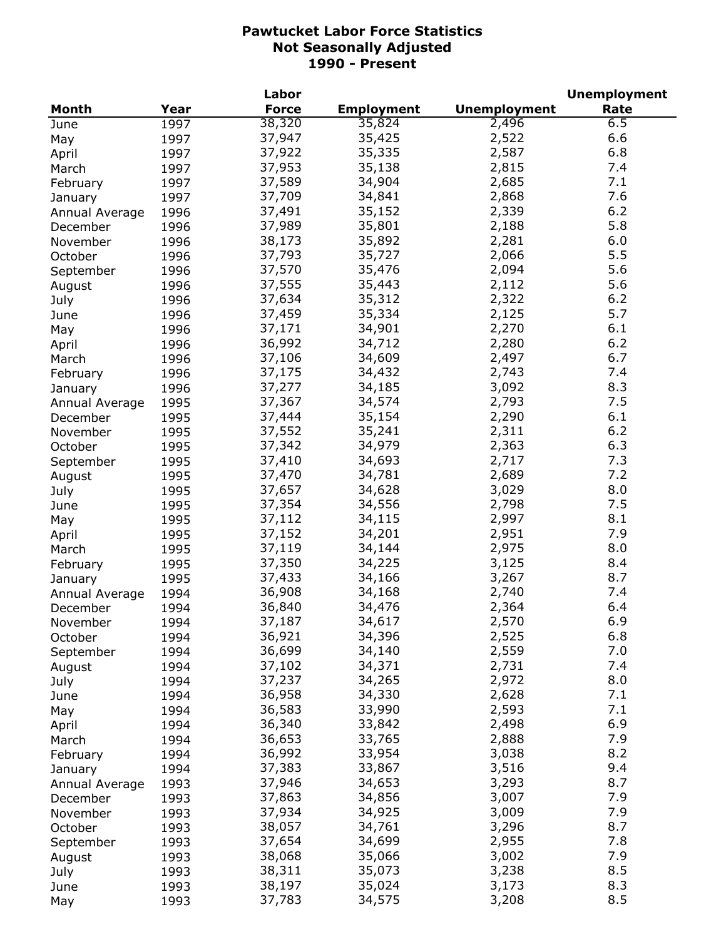| Year<br><b>Force</b><br><b>Employment</b><br><b>Unemployment</b><br>Rate<br>Month<br>38,320<br>2,496<br>35,824<br>6.5<br>1997<br>June<br>37,947<br>6.6<br>35,425<br>2,522<br>1997<br>May<br>6.8<br>37,922<br>35,335<br>2,587<br>1997<br>April<br>7.4<br>37,953<br>35,138<br>2,815<br>1997<br>March<br>37,589<br>2,685<br>7.1<br>34,904<br>1997<br>February<br>7.6<br>37,709<br>34,841<br>2,868<br>1997<br>January<br>6.2<br>37,491<br>35,152<br>2,339<br>1996<br>Annual Average<br>5.8<br>37,989<br>35,801<br>2,188<br>1996<br>December<br>2,281<br>6.0<br>38,173<br>35,892<br>1996<br>November<br>2,066<br>5.5<br>37,793<br>35,727<br>1996<br>October<br>37,570<br>2,094<br>5.6<br>35,476<br>1996<br>September<br>37,555<br>2,112<br>5.6<br>35,443<br>1996<br>August<br>2,322<br>37,634<br>35,312<br>6.2<br>1996<br>July<br>5.7<br>37,459<br>35,334<br>2,125<br>1996<br>June<br>2,270<br>6.1<br>37,171<br>34,901<br>1996<br>May<br>6.2<br>36,992<br>2,280<br>34,712<br>1996<br>April<br>2,497<br>6.7<br>37,106<br>34,609<br>1996<br>March<br>7.4<br>37,175<br>34,432<br>2,743<br>1996<br>February<br>8.3<br>37,277<br>34,185<br>3,092<br>1996<br>January<br>7.5<br>37,367<br>34,574<br>2,793<br>1995<br>Annual Average<br>37,444<br>35,154<br>2,290<br>6.1<br>1995<br>December<br>6.2<br>37,552<br>35,241<br>2,311<br>1995<br>November<br>6.3<br>37,342<br>34,979<br>2,363<br>1995<br>October<br>37,410<br>34,693<br>2,717<br>7.3<br>1995<br>September<br>7.2<br>37,470<br>34,781<br>2,689<br>1995<br>August<br>3,029<br>8.0<br>37,657<br>34,628<br>1995<br>July<br>2,798<br>7.5<br>37,354<br>34,556<br>1995<br>June<br>2,997<br>8.1<br>37,112<br>34,115<br>1995<br>May<br>37,152<br>2,951<br>7.9<br>34,201<br>1995<br>April<br>37,119<br>2,975<br>34,144<br>8.0<br>1995<br>March<br>37,350<br>3,125<br>34,225<br>8.4<br>1995<br>February<br>37,433<br>3,267<br>8.7<br>34,166<br>1995<br>January<br>7.4<br>36,908<br>34,168<br>2,740<br>1994<br>Annual Average<br>36,840<br>34,476<br>2,364<br>6.4<br>1994<br>December<br>6.9<br>37,187<br>34,617<br>2,570<br>November<br>1994<br>36,921<br>34,396<br>2,525<br>6.8<br>1994<br>October<br>7.0<br>36,699<br>34,140<br>2,559<br>1994<br>September<br>37,102<br>34,371<br>2,731<br>7.4<br>1994<br>August<br>8.0<br>37,237<br>34,265<br>2,972<br>1994<br>July<br>36,958<br>34,330<br>2,628<br>7.1<br>1994<br>June<br>7.1<br>36,583<br>33,990<br>2,593<br>1994<br>May<br>6.9<br>36,340<br>33,842<br>2,498<br>1994<br>April<br>7.9<br>36,653<br>33,765<br>2,888<br>1994<br>March<br>36,992<br>8.2<br>33,954<br>3,038<br>1994<br>February<br>37,383<br>3,516<br>9.4<br>33,867<br>1994<br>January<br>37,946<br>3,293<br>8.7<br>34,653<br>1993<br>Annual Average<br>37,863<br>7.9<br>34,856<br>3,007<br>1993<br>December<br>37,934<br>7.9<br>34,925<br>3,009<br>1993<br>November<br>38,057<br>3,296<br>8.7<br>34,761<br>1993<br>October<br>7.8<br>37,654<br>34,699<br>2,955<br>1993<br>September<br>7.9<br>38,068<br>35,066<br>3,002<br>1993<br>August<br>8.5<br>38,311<br>3,238<br>35,073<br>1993<br>July<br>8.3<br>38,197<br>35,024<br>3,173<br>1993<br>June<br>8.5<br>37,783<br>34,575<br>3,208<br>1993<br>May |  | Labor |  | <b>Unemployment</b> |
|----------------------------------------------------------------------------------------------------------------------------------------------------------------------------------------------------------------------------------------------------------------------------------------------------------------------------------------------------------------------------------------------------------------------------------------------------------------------------------------------------------------------------------------------------------------------------------------------------------------------------------------------------------------------------------------------------------------------------------------------------------------------------------------------------------------------------------------------------------------------------------------------------------------------------------------------------------------------------------------------------------------------------------------------------------------------------------------------------------------------------------------------------------------------------------------------------------------------------------------------------------------------------------------------------------------------------------------------------------------------------------------------------------------------------------------------------------------------------------------------------------------------------------------------------------------------------------------------------------------------------------------------------------------------------------------------------------------------------------------------------------------------------------------------------------------------------------------------------------------------------------------------------------------------------------------------------------------------------------------------------------------------------------------------------------------------------------------------------------------------------------------------------------------------------------------------------------------------------------------------------------------------------------------------------------------------------------------------------------------------------------------------------------------------------------------------------------------------------------------------------------------------------------------------------------------------------------------------------------------------------------------------------------------------------------------------------------------------------------------------------------------------------------------------------------------------------------------------------------------------------------------------------------------------------------------------------------------------------------------------------------------------------------------------------------------------------------------------------------------------------------------------------------|--|-------|--|---------------------|
|                                                                                                                                                                                                                                                                                                                                                                                                                                                                                                                                                                                                                                                                                                                                                                                                                                                                                                                                                                                                                                                                                                                                                                                                                                                                                                                                                                                                                                                                                                                                                                                                                                                                                                                                                                                                                                                                                                                                                                                                                                                                                                                                                                                                                                                                                                                                                                                                                                                                                                                                                                                                                                                                                                                                                                                                                                                                                                                                                                                                                                                                                                                                                          |  |       |  |                     |
|                                                                                                                                                                                                                                                                                                                                                                                                                                                                                                                                                                                                                                                                                                                                                                                                                                                                                                                                                                                                                                                                                                                                                                                                                                                                                                                                                                                                                                                                                                                                                                                                                                                                                                                                                                                                                                                                                                                                                                                                                                                                                                                                                                                                                                                                                                                                                                                                                                                                                                                                                                                                                                                                                                                                                                                                                                                                                                                                                                                                                                                                                                                                                          |  |       |  |                     |
|                                                                                                                                                                                                                                                                                                                                                                                                                                                                                                                                                                                                                                                                                                                                                                                                                                                                                                                                                                                                                                                                                                                                                                                                                                                                                                                                                                                                                                                                                                                                                                                                                                                                                                                                                                                                                                                                                                                                                                                                                                                                                                                                                                                                                                                                                                                                                                                                                                                                                                                                                                                                                                                                                                                                                                                                                                                                                                                                                                                                                                                                                                                                                          |  |       |  |                     |
|                                                                                                                                                                                                                                                                                                                                                                                                                                                                                                                                                                                                                                                                                                                                                                                                                                                                                                                                                                                                                                                                                                                                                                                                                                                                                                                                                                                                                                                                                                                                                                                                                                                                                                                                                                                                                                                                                                                                                                                                                                                                                                                                                                                                                                                                                                                                                                                                                                                                                                                                                                                                                                                                                                                                                                                                                                                                                                                                                                                                                                                                                                                                                          |  |       |  |                     |
|                                                                                                                                                                                                                                                                                                                                                                                                                                                                                                                                                                                                                                                                                                                                                                                                                                                                                                                                                                                                                                                                                                                                                                                                                                                                                                                                                                                                                                                                                                                                                                                                                                                                                                                                                                                                                                                                                                                                                                                                                                                                                                                                                                                                                                                                                                                                                                                                                                                                                                                                                                                                                                                                                                                                                                                                                                                                                                                                                                                                                                                                                                                                                          |  |       |  |                     |
|                                                                                                                                                                                                                                                                                                                                                                                                                                                                                                                                                                                                                                                                                                                                                                                                                                                                                                                                                                                                                                                                                                                                                                                                                                                                                                                                                                                                                                                                                                                                                                                                                                                                                                                                                                                                                                                                                                                                                                                                                                                                                                                                                                                                                                                                                                                                                                                                                                                                                                                                                                                                                                                                                                                                                                                                                                                                                                                                                                                                                                                                                                                                                          |  |       |  |                     |
|                                                                                                                                                                                                                                                                                                                                                                                                                                                                                                                                                                                                                                                                                                                                                                                                                                                                                                                                                                                                                                                                                                                                                                                                                                                                                                                                                                                                                                                                                                                                                                                                                                                                                                                                                                                                                                                                                                                                                                                                                                                                                                                                                                                                                                                                                                                                                                                                                                                                                                                                                                                                                                                                                                                                                                                                                                                                                                                                                                                                                                                                                                                                                          |  |       |  |                     |
|                                                                                                                                                                                                                                                                                                                                                                                                                                                                                                                                                                                                                                                                                                                                                                                                                                                                                                                                                                                                                                                                                                                                                                                                                                                                                                                                                                                                                                                                                                                                                                                                                                                                                                                                                                                                                                                                                                                                                                                                                                                                                                                                                                                                                                                                                                                                                                                                                                                                                                                                                                                                                                                                                                                                                                                                                                                                                                                                                                                                                                                                                                                                                          |  |       |  |                     |
|                                                                                                                                                                                                                                                                                                                                                                                                                                                                                                                                                                                                                                                                                                                                                                                                                                                                                                                                                                                                                                                                                                                                                                                                                                                                                                                                                                                                                                                                                                                                                                                                                                                                                                                                                                                                                                                                                                                                                                                                                                                                                                                                                                                                                                                                                                                                                                                                                                                                                                                                                                                                                                                                                                                                                                                                                                                                                                                                                                                                                                                                                                                                                          |  |       |  |                     |
|                                                                                                                                                                                                                                                                                                                                                                                                                                                                                                                                                                                                                                                                                                                                                                                                                                                                                                                                                                                                                                                                                                                                                                                                                                                                                                                                                                                                                                                                                                                                                                                                                                                                                                                                                                                                                                                                                                                                                                                                                                                                                                                                                                                                                                                                                                                                                                                                                                                                                                                                                                                                                                                                                                                                                                                                                                                                                                                                                                                                                                                                                                                                                          |  |       |  |                     |
|                                                                                                                                                                                                                                                                                                                                                                                                                                                                                                                                                                                                                                                                                                                                                                                                                                                                                                                                                                                                                                                                                                                                                                                                                                                                                                                                                                                                                                                                                                                                                                                                                                                                                                                                                                                                                                                                                                                                                                                                                                                                                                                                                                                                                                                                                                                                                                                                                                                                                                                                                                                                                                                                                                                                                                                                                                                                                                                                                                                                                                                                                                                                                          |  |       |  |                     |
|                                                                                                                                                                                                                                                                                                                                                                                                                                                                                                                                                                                                                                                                                                                                                                                                                                                                                                                                                                                                                                                                                                                                                                                                                                                                                                                                                                                                                                                                                                                                                                                                                                                                                                                                                                                                                                                                                                                                                                                                                                                                                                                                                                                                                                                                                                                                                                                                                                                                                                                                                                                                                                                                                                                                                                                                                                                                                                                                                                                                                                                                                                                                                          |  |       |  |                     |
|                                                                                                                                                                                                                                                                                                                                                                                                                                                                                                                                                                                                                                                                                                                                                                                                                                                                                                                                                                                                                                                                                                                                                                                                                                                                                                                                                                                                                                                                                                                                                                                                                                                                                                                                                                                                                                                                                                                                                                                                                                                                                                                                                                                                                                                                                                                                                                                                                                                                                                                                                                                                                                                                                                                                                                                                                                                                                                                                                                                                                                                                                                                                                          |  |       |  |                     |
|                                                                                                                                                                                                                                                                                                                                                                                                                                                                                                                                                                                                                                                                                                                                                                                                                                                                                                                                                                                                                                                                                                                                                                                                                                                                                                                                                                                                                                                                                                                                                                                                                                                                                                                                                                                                                                                                                                                                                                                                                                                                                                                                                                                                                                                                                                                                                                                                                                                                                                                                                                                                                                                                                                                                                                                                                                                                                                                                                                                                                                                                                                                                                          |  |       |  |                     |
|                                                                                                                                                                                                                                                                                                                                                                                                                                                                                                                                                                                                                                                                                                                                                                                                                                                                                                                                                                                                                                                                                                                                                                                                                                                                                                                                                                                                                                                                                                                                                                                                                                                                                                                                                                                                                                                                                                                                                                                                                                                                                                                                                                                                                                                                                                                                                                                                                                                                                                                                                                                                                                                                                                                                                                                                                                                                                                                                                                                                                                                                                                                                                          |  |       |  |                     |
|                                                                                                                                                                                                                                                                                                                                                                                                                                                                                                                                                                                                                                                                                                                                                                                                                                                                                                                                                                                                                                                                                                                                                                                                                                                                                                                                                                                                                                                                                                                                                                                                                                                                                                                                                                                                                                                                                                                                                                                                                                                                                                                                                                                                                                                                                                                                                                                                                                                                                                                                                                                                                                                                                                                                                                                                                                                                                                                                                                                                                                                                                                                                                          |  |       |  |                     |
|                                                                                                                                                                                                                                                                                                                                                                                                                                                                                                                                                                                                                                                                                                                                                                                                                                                                                                                                                                                                                                                                                                                                                                                                                                                                                                                                                                                                                                                                                                                                                                                                                                                                                                                                                                                                                                                                                                                                                                                                                                                                                                                                                                                                                                                                                                                                                                                                                                                                                                                                                                                                                                                                                                                                                                                                                                                                                                                                                                                                                                                                                                                                                          |  |       |  |                     |
|                                                                                                                                                                                                                                                                                                                                                                                                                                                                                                                                                                                                                                                                                                                                                                                                                                                                                                                                                                                                                                                                                                                                                                                                                                                                                                                                                                                                                                                                                                                                                                                                                                                                                                                                                                                                                                                                                                                                                                                                                                                                                                                                                                                                                                                                                                                                                                                                                                                                                                                                                                                                                                                                                                                                                                                                                                                                                                                                                                                                                                                                                                                                                          |  |       |  |                     |
|                                                                                                                                                                                                                                                                                                                                                                                                                                                                                                                                                                                                                                                                                                                                                                                                                                                                                                                                                                                                                                                                                                                                                                                                                                                                                                                                                                                                                                                                                                                                                                                                                                                                                                                                                                                                                                                                                                                                                                                                                                                                                                                                                                                                                                                                                                                                                                                                                                                                                                                                                                                                                                                                                                                                                                                                                                                                                                                                                                                                                                                                                                                                                          |  |       |  |                     |
|                                                                                                                                                                                                                                                                                                                                                                                                                                                                                                                                                                                                                                                                                                                                                                                                                                                                                                                                                                                                                                                                                                                                                                                                                                                                                                                                                                                                                                                                                                                                                                                                                                                                                                                                                                                                                                                                                                                                                                                                                                                                                                                                                                                                                                                                                                                                                                                                                                                                                                                                                                                                                                                                                                                                                                                                                                                                                                                                                                                                                                                                                                                                                          |  |       |  |                     |
|                                                                                                                                                                                                                                                                                                                                                                                                                                                                                                                                                                                                                                                                                                                                                                                                                                                                                                                                                                                                                                                                                                                                                                                                                                                                                                                                                                                                                                                                                                                                                                                                                                                                                                                                                                                                                                                                                                                                                                                                                                                                                                                                                                                                                                                                                                                                                                                                                                                                                                                                                                                                                                                                                                                                                                                                                                                                                                                                                                                                                                                                                                                                                          |  |       |  |                     |
|                                                                                                                                                                                                                                                                                                                                                                                                                                                                                                                                                                                                                                                                                                                                                                                                                                                                                                                                                                                                                                                                                                                                                                                                                                                                                                                                                                                                                                                                                                                                                                                                                                                                                                                                                                                                                                                                                                                                                                                                                                                                                                                                                                                                                                                                                                                                                                                                                                                                                                                                                                                                                                                                                                                                                                                                                                                                                                                                                                                                                                                                                                                                                          |  |       |  |                     |
|                                                                                                                                                                                                                                                                                                                                                                                                                                                                                                                                                                                                                                                                                                                                                                                                                                                                                                                                                                                                                                                                                                                                                                                                                                                                                                                                                                                                                                                                                                                                                                                                                                                                                                                                                                                                                                                                                                                                                                                                                                                                                                                                                                                                                                                                                                                                                                                                                                                                                                                                                                                                                                                                                                                                                                                                                                                                                                                                                                                                                                                                                                                                                          |  |       |  |                     |
|                                                                                                                                                                                                                                                                                                                                                                                                                                                                                                                                                                                                                                                                                                                                                                                                                                                                                                                                                                                                                                                                                                                                                                                                                                                                                                                                                                                                                                                                                                                                                                                                                                                                                                                                                                                                                                                                                                                                                                                                                                                                                                                                                                                                                                                                                                                                                                                                                                                                                                                                                                                                                                                                                                                                                                                                                                                                                                                                                                                                                                                                                                                                                          |  |       |  |                     |
|                                                                                                                                                                                                                                                                                                                                                                                                                                                                                                                                                                                                                                                                                                                                                                                                                                                                                                                                                                                                                                                                                                                                                                                                                                                                                                                                                                                                                                                                                                                                                                                                                                                                                                                                                                                                                                                                                                                                                                                                                                                                                                                                                                                                                                                                                                                                                                                                                                                                                                                                                                                                                                                                                                                                                                                                                                                                                                                                                                                                                                                                                                                                                          |  |       |  |                     |
|                                                                                                                                                                                                                                                                                                                                                                                                                                                                                                                                                                                                                                                                                                                                                                                                                                                                                                                                                                                                                                                                                                                                                                                                                                                                                                                                                                                                                                                                                                                                                                                                                                                                                                                                                                                                                                                                                                                                                                                                                                                                                                                                                                                                                                                                                                                                                                                                                                                                                                                                                                                                                                                                                                                                                                                                                                                                                                                                                                                                                                                                                                                                                          |  |       |  |                     |
|                                                                                                                                                                                                                                                                                                                                                                                                                                                                                                                                                                                                                                                                                                                                                                                                                                                                                                                                                                                                                                                                                                                                                                                                                                                                                                                                                                                                                                                                                                                                                                                                                                                                                                                                                                                                                                                                                                                                                                                                                                                                                                                                                                                                                                                                                                                                                                                                                                                                                                                                                                                                                                                                                                                                                                                                                                                                                                                                                                                                                                                                                                                                                          |  |       |  |                     |
|                                                                                                                                                                                                                                                                                                                                                                                                                                                                                                                                                                                                                                                                                                                                                                                                                                                                                                                                                                                                                                                                                                                                                                                                                                                                                                                                                                                                                                                                                                                                                                                                                                                                                                                                                                                                                                                                                                                                                                                                                                                                                                                                                                                                                                                                                                                                                                                                                                                                                                                                                                                                                                                                                                                                                                                                                                                                                                                                                                                                                                                                                                                                                          |  |       |  |                     |
|                                                                                                                                                                                                                                                                                                                                                                                                                                                                                                                                                                                                                                                                                                                                                                                                                                                                                                                                                                                                                                                                                                                                                                                                                                                                                                                                                                                                                                                                                                                                                                                                                                                                                                                                                                                                                                                                                                                                                                                                                                                                                                                                                                                                                                                                                                                                                                                                                                                                                                                                                                                                                                                                                                                                                                                                                                                                                                                                                                                                                                                                                                                                                          |  |       |  |                     |
|                                                                                                                                                                                                                                                                                                                                                                                                                                                                                                                                                                                                                                                                                                                                                                                                                                                                                                                                                                                                                                                                                                                                                                                                                                                                                                                                                                                                                                                                                                                                                                                                                                                                                                                                                                                                                                                                                                                                                                                                                                                                                                                                                                                                                                                                                                                                                                                                                                                                                                                                                                                                                                                                                                                                                                                                                                                                                                                                                                                                                                                                                                                                                          |  |       |  |                     |
|                                                                                                                                                                                                                                                                                                                                                                                                                                                                                                                                                                                                                                                                                                                                                                                                                                                                                                                                                                                                                                                                                                                                                                                                                                                                                                                                                                                                                                                                                                                                                                                                                                                                                                                                                                                                                                                                                                                                                                                                                                                                                                                                                                                                                                                                                                                                                                                                                                                                                                                                                                                                                                                                                                                                                                                                                                                                                                                                                                                                                                                                                                                                                          |  |       |  |                     |
|                                                                                                                                                                                                                                                                                                                                                                                                                                                                                                                                                                                                                                                                                                                                                                                                                                                                                                                                                                                                                                                                                                                                                                                                                                                                                                                                                                                                                                                                                                                                                                                                                                                                                                                                                                                                                                                                                                                                                                                                                                                                                                                                                                                                                                                                                                                                                                                                                                                                                                                                                                                                                                                                                                                                                                                                                                                                                                                                                                                                                                                                                                                                                          |  |       |  |                     |
|                                                                                                                                                                                                                                                                                                                                                                                                                                                                                                                                                                                                                                                                                                                                                                                                                                                                                                                                                                                                                                                                                                                                                                                                                                                                                                                                                                                                                                                                                                                                                                                                                                                                                                                                                                                                                                                                                                                                                                                                                                                                                                                                                                                                                                                                                                                                                                                                                                                                                                                                                                                                                                                                                                                                                                                                                                                                                                                                                                                                                                                                                                                                                          |  |       |  |                     |
|                                                                                                                                                                                                                                                                                                                                                                                                                                                                                                                                                                                                                                                                                                                                                                                                                                                                                                                                                                                                                                                                                                                                                                                                                                                                                                                                                                                                                                                                                                                                                                                                                                                                                                                                                                                                                                                                                                                                                                                                                                                                                                                                                                                                                                                                                                                                                                                                                                                                                                                                                                                                                                                                                                                                                                                                                                                                                                                                                                                                                                                                                                                                                          |  |       |  |                     |
|                                                                                                                                                                                                                                                                                                                                                                                                                                                                                                                                                                                                                                                                                                                                                                                                                                                                                                                                                                                                                                                                                                                                                                                                                                                                                                                                                                                                                                                                                                                                                                                                                                                                                                                                                                                                                                                                                                                                                                                                                                                                                                                                                                                                                                                                                                                                                                                                                                                                                                                                                                                                                                                                                                                                                                                                                                                                                                                                                                                                                                                                                                                                                          |  |       |  |                     |
|                                                                                                                                                                                                                                                                                                                                                                                                                                                                                                                                                                                                                                                                                                                                                                                                                                                                                                                                                                                                                                                                                                                                                                                                                                                                                                                                                                                                                                                                                                                                                                                                                                                                                                                                                                                                                                                                                                                                                                                                                                                                                                                                                                                                                                                                                                                                                                                                                                                                                                                                                                                                                                                                                                                                                                                                                                                                                                                                                                                                                                                                                                                                                          |  |       |  |                     |
|                                                                                                                                                                                                                                                                                                                                                                                                                                                                                                                                                                                                                                                                                                                                                                                                                                                                                                                                                                                                                                                                                                                                                                                                                                                                                                                                                                                                                                                                                                                                                                                                                                                                                                                                                                                                                                                                                                                                                                                                                                                                                                                                                                                                                                                                                                                                                                                                                                                                                                                                                                                                                                                                                                                                                                                                                                                                                                                                                                                                                                                                                                                                                          |  |       |  |                     |
|                                                                                                                                                                                                                                                                                                                                                                                                                                                                                                                                                                                                                                                                                                                                                                                                                                                                                                                                                                                                                                                                                                                                                                                                                                                                                                                                                                                                                                                                                                                                                                                                                                                                                                                                                                                                                                                                                                                                                                                                                                                                                                                                                                                                                                                                                                                                                                                                                                                                                                                                                                                                                                                                                                                                                                                                                                                                                                                                                                                                                                                                                                                                                          |  |       |  |                     |
|                                                                                                                                                                                                                                                                                                                                                                                                                                                                                                                                                                                                                                                                                                                                                                                                                                                                                                                                                                                                                                                                                                                                                                                                                                                                                                                                                                                                                                                                                                                                                                                                                                                                                                                                                                                                                                                                                                                                                                                                                                                                                                                                                                                                                                                                                                                                                                                                                                                                                                                                                                                                                                                                                                                                                                                                                                                                                                                                                                                                                                                                                                                                                          |  |       |  |                     |
|                                                                                                                                                                                                                                                                                                                                                                                                                                                                                                                                                                                                                                                                                                                                                                                                                                                                                                                                                                                                                                                                                                                                                                                                                                                                                                                                                                                                                                                                                                                                                                                                                                                                                                                                                                                                                                                                                                                                                                                                                                                                                                                                                                                                                                                                                                                                                                                                                                                                                                                                                                                                                                                                                                                                                                                                                                                                                                                                                                                                                                                                                                                                                          |  |       |  |                     |
|                                                                                                                                                                                                                                                                                                                                                                                                                                                                                                                                                                                                                                                                                                                                                                                                                                                                                                                                                                                                                                                                                                                                                                                                                                                                                                                                                                                                                                                                                                                                                                                                                                                                                                                                                                                                                                                                                                                                                                                                                                                                                                                                                                                                                                                                                                                                                                                                                                                                                                                                                                                                                                                                                                                                                                                                                                                                                                                                                                                                                                                                                                                                                          |  |       |  |                     |
|                                                                                                                                                                                                                                                                                                                                                                                                                                                                                                                                                                                                                                                                                                                                                                                                                                                                                                                                                                                                                                                                                                                                                                                                                                                                                                                                                                                                                                                                                                                                                                                                                                                                                                                                                                                                                                                                                                                                                                                                                                                                                                                                                                                                                                                                                                                                                                                                                                                                                                                                                                                                                                                                                                                                                                                                                                                                                                                                                                                                                                                                                                                                                          |  |       |  |                     |
|                                                                                                                                                                                                                                                                                                                                                                                                                                                                                                                                                                                                                                                                                                                                                                                                                                                                                                                                                                                                                                                                                                                                                                                                                                                                                                                                                                                                                                                                                                                                                                                                                                                                                                                                                                                                                                                                                                                                                                                                                                                                                                                                                                                                                                                                                                                                                                                                                                                                                                                                                                                                                                                                                                                                                                                                                                                                                                                                                                                                                                                                                                                                                          |  |       |  |                     |
|                                                                                                                                                                                                                                                                                                                                                                                                                                                                                                                                                                                                                                                                                                                                                                                                                                                                                                                                                                                                                                                                                                                                                                                                                                                                                                                                                                                                                                                                                                                                                                                                                                                                                                                                                                                                                                                                                                                                                                                                                                                                                                                                                                                                                                                                                                                                                                                                                                                                                                                                                                                                                                                                                                                                                                                                                                                                                                                                                                                                                                                                                                                                                          |  |       |  |                     |
|                                                                                                                                                                                                                                                                                                                                                                                                                                                                                                                                                                                                                                                                                                                                                                                                                                                                                                                                                                                                                                                                                                                                                                                                                                                                                                                                                                                                                                                                                                                                                                                                                                                                                                                                                                                                                                                                                                                                                                                                                                                                                                                                                                                                                                                                                                                                                                                                                                                                                                                                                                                                                                                                                                                                                                                                                                                                                                                                                                                                                                                                                                                                                          |  |       |  |                     |
|                                                                                                                                                                                                                                                                                                                                                                                                                                                                                                                                                                                                                                                                                                                                                                                                                                                                                                                                                                                                                                                                                                                                                                                                                                                                                                                                                                                                                                                                                                                                                                                                                                                                                                                                                                                                                                                                                                                                                                                                                                                                                                                                                                                                                                                                                                                                                                                                                                                                                                                                                                                                                                                                                                                                                                                                                                                                                                                                                                                                                                                                                                                                                          |  |       |  |                     |
|                                                                                                                                                                                                                                                                                                                                                                                                                                                                                                                                                                                                                                                                                                                                                                                                                                                                                                                                                                                                                                                                                                                                                                                                                                                                                                                                                                                                                                                                                                                                                                                                                                                                                                                                                                                                                                                                                                                                                                                                                                                                                                                                                                                                                                                                                                                                                                                                                                                                                                                                                                                                                                                                                                                                                                                                                                                                                                                                                                                                                                                                                                                                                          |  |       |  |                     |
|                                                                                                                                                                                                                                                                                                                                                                                                                                                                                                                                                                                                                                                                                                                                                                                                                                                                                                                                                                                                                                                                                                                                                                                                                                                                                                                                                                                                                                                                                                                                                                                                                                                                                                                                                                                                                                                                                                                                                                                                                                                                                                                                                                                                                                                                                                                                                                                                                                                                                                                                                                                                                                                                                                                                                                                                                                                                                                                                                                                                                                                                                                                                                          |  |       |  |                     |
|                                                                                                                                                                                                                                                                                                                                                                                                                                                                                                                                                                                                                                                                                                                                                                                                                                                                                                                                                                                                                                                                                                                                                                                                                                                                                                                                                                                                                                                                                                                                                                                                                                                                                                                                                                                                                                                                                                                                                                                                                                                                                                                                                                                                                                                                                                                                                                                                                                                                                                                                                                                                                                                                                                                                                                                                                                                                                                                                                                                                                                                                                                                                                          |  |       |  |                     |
|                                                                                                                                                                                                                                                                                                                                                                                                                                                                                                                                                                                                                                                                                                                                                                                                                                                                                                                                                                                                                                                                                                                                                                                                                                                                                                                                                                                                                                                                                                                                                                                                                                                                                                                                                                                                                                                                                                                                                                                                                                                                                                                                                                                                                                                                                                                                                                                                                                                                                                                                                                                                                                                                                                                                                                                                                                                                                                                                                                                                                                                                                                                                                          |  |       |  |                     |
|                                                                                                                                                                                                                                                                                                                                                                                                                                                                                                                                                                                                                                                                                                                                                                                                                                                                                                                                                                                                                                                                                                                                                                                                                                                                                                                                                                                                                                                                                                                                                                                                                                                                                                                                                                                                                                                                                                                                                                                                                                                                                                                                                                                                                                                                                                                                                                                                                                                                                                                                                                                                                                                                                                                                                                                                                                                                                                                                                                                                                                                                                                                                                          |  |       |  |                     |
|                                                                                                                                                                                                                                                                                                                                                                                                                                                                                                                                                                                                                                                                                                                                                                                                                                                                                                                                                                                                                                                                                                                                                                                                                                                                                                                                                                                                                                                                                                                                                                                                                                                                                                                                                                                                                                                                                                                                                                                                                                                                                                                                                                                                                                                                                                                                                                                                                                                                                                                                                                                                                                                                                                                                                                                                                                                                                                                                                                                                                                                                                                                                                          |  |       |  |                     |
|                                                                                                                                                                                                                                                                                                                                                                                                                                                                                                                                                                                                                                                                                                                                                                                                                                                                                                                                                                                                                                                                                                                                                                                                                                                                                                                                                                                                                                                                                                                                                                                                                                                                                                                                                                                                                                                                                                                                                                                                                                                                                                                                                                                                                                                                                                                                                                                                                                                                                                                                                                                                                                                                                                                                                                                                                                                                                                                                                                                                                                                                                                                                                          |  |       |  |                     |
|                                                                                                                                                                                                                                                                                                                                                                                                                                                                                                                                                                                                                                                                                                                                                                                                                                                                                                                                                                                                                                                                                                                                                                                                                                                                                                                                                                                                                                                                                                                                                                                                                                                                                                                                                                                                                                                                                                                                                                                                                                                                                                                                                                                                                                                                                                                                                                                                                                                                                                                                                                                                                                                                                                                                                                                                                                                                                                                                                                                                                                                                                                                                                          |  |       |  |                     |
|                                                                                                                                                                                                                                                                                                                                                                                                                                                                                                                                                                                                                                                                                                                                                                                                                                                                                                                                                                                                                                                                                                                                                                                                                                                                                                                                                                                                                                                                                                                                                                                                                                                                                                                                                                                                                                                                                                                                                                                                                                                                                                                                                                                                                                                                                                                                                                                                                                                                                                                                                                                                                                                                                                                                                                                                                                                                                                                                                                                                                                                                                                                                                          |  |       |  |                     |
|                                                                                                                                                                                                                                                                                                                                                                                                                                                                                                                                                                                                                                                                                                                                                                                                                                                                                                                                                                                                                                                                                                                                                                                                                                                                                                                                                                                                                                                                                                                                                                                                                                                                                                                                                                                                                                                                                                                                                                                                                                                                                                                                                                                                                                                                                                                                                                                                                                                                                                                                                                                                                                                                                                                                                                                                                                                                                                                                                                                                                                                                                                                                                          |  |       |  |                     |